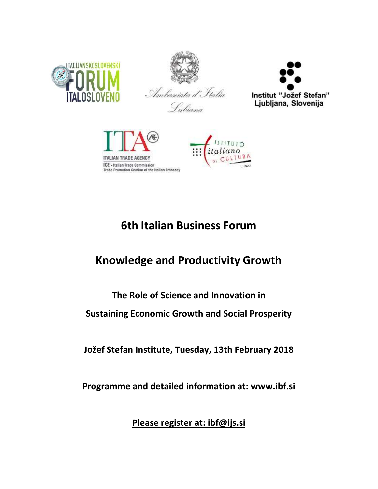





Subiana



# **6th Italian Business Forum**

# **Knowledge and Productivity Growth**

# **The Role of Science and Innovation in**

**Sustaining Economic Growth and Social Prosperity**

**Jožef Stefan Institute, Tuesday, 13th February 2018**

**Programme and detailed information at: www.ibf.si**

**Please register at: ibf@ijs.si**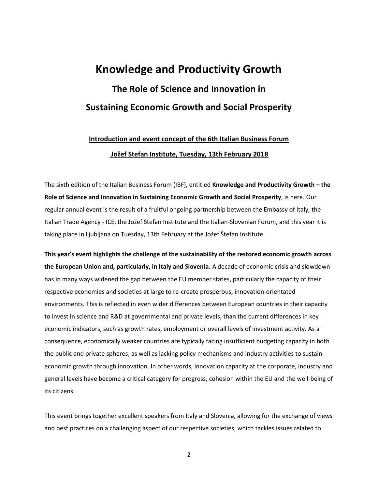# **Knowledge and Productivity Growth The Role of Science and Innovation in Sustaining Economic Growth and Social Prosperity**

### **Introduction and event concept of the 6th Italian Business Forum Jožef Stefan Institute, Tuesday, 13th February 2018**

The sixth edition of the Italian Business Forum (IBF), entitled **Knowledge and Productivity Growth – the Role of Science and Innovation in Sustaining Economic Growth and Social Prosperity**, is here. Our regular annual event is the result of a fruitful ongoing partnership between the Embassy of Italy, the Italian Trade Agency - ICE, the Jožef Stefan Institute and the Italian-Slovenian Forum, and this year it is taking place in Ljubljana on Tuesday, 13th February at the Jožef Štefan Institute.

**This year's event highlights the challenge of the sustainability of the restored economic growth across the European Union and, particularly, in Italy and Slovenia.** A decade of economic crisis and slowdown has in many ways widened the gap between the EU member states, particularly the capacity of their respective economies and societies at large to re-create prosperous, innovation-orientated environments. This is reflected in even wider differences between European countries in their capacity to invest in science and R&D at governmental and private levels, than the current differences in key economic indicators, such as growth rates, employment or overall levels of investment activity. As a consequence, economically weaker countries are typically facing insufficient budgeting capacity in both the public and private spheres, as well as lacking policy mechanisms and industry activities to sustain economic growth through innovation. In other words, innovation capacity at the corporate, industry and general levels have become a critical category for progress, cohesion within the EU and the well-being of its citizens.

This event brings together excellent speakers from Italy and Slovenia, allowing for the exchange of views and best practices on a challenging aspect of our respective societies, which tackles issues related to

2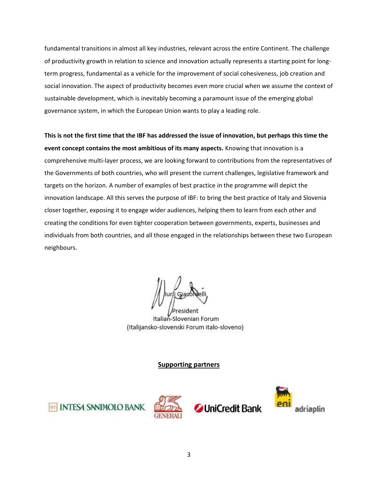fundamental transitions in almost all key industries, relevant across the entire Continent. The challenge of productivity growth in relation to science and innovation actually represents a starting point for longterm progress, fundamental as a vehicle for the improvement of social cohesiveness, job creation and social innovation. The aspect of productivity becomes even more crucial when we assume the context of sustainable development, which is inevitably becoming a paramount issue of the emerging global governance system, in which the European Union wants to play a leading role.

**This is not the first time that the IBF has addressed the issue of innovation, but perhaps this time the event concept contains the most ambitious of its many aspects.** Knowing that innovation is a comprehensive multi-layer process, we are looking forward to contributions from the representatives of the Governments of both countries, who will present the current challenges, legislative framework and targets on the horizon. A number of examples of best practice in the programme will depict the innovation landscape. All this serves the purpose of IBF: to bring the best practice of Italy and Slovenia closer together, exposing it to engage wider audiences, helping them to learn from each other and creating the conditions for even tighter cooperation between governments, experts, businesses and individuals from both countries, and all those engaged in the relationships between these two European neighbours.

Italian-Slovenian Forum (Italijansko-slovenski Forum italo-sloveno)

#### **Supporting partners**







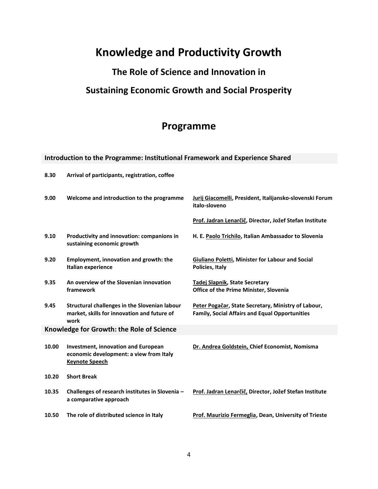## **Knowledge and Productivity Growth**

## **The Role of Science and Innovation in**

### **Sustaining Economic Growth and Social Prosperity**

## **Programme**

### **Introduction to the Programme: Institutional Framework and Experience Shared**

| 8.30                                      | Arrival of participants, registration, coffee                                                                  |                                                                                                              |
|-------------------------------------------|----------------------------------------------------------------------------------------------------------------|--------------------------------------------------------------------------------------------------------------|
| 9.00                                      | Welcome and introduction to the programme                                                                      | Jurij Giacomelli, President, Italijansko-slovenski Forum<br>italo-sloveno                                    |
|                                           |                                                                                                                | Prof. Jadran Lenarčič, Director, Jožef Stefan Institute                                                      |
| 9.10                                      | Productivity and innovation: companions in<br>sustaining economic growth                                       | H. E. Paolo Trichilo, Italian Ambassador to Slovenia                                                         |
| 9.20                                      | Employment, innovation and growth: the<br>Italian experience                                                   | <b>Giuliano Poletti, Minister for Labour and Social</b><br>Policies, Italy                                   |
| 9.35                                      | An overview of the Slovenian innovation<br>framework                                                           | Tadej Slapnik, State Secretary<br><b>Office of the Prime Minister, Slovenia</b>                              |
| 9.45                                      | Structural challenges in the Slovenian labour<br>market, skills for innovation and future of<br>work           | Peter Pogačar, State Secretary, Ministry of Labour,<br><b>Family, Social Affairs and Equal Opportunities</b> |
| Knowledge for Growth: the Role of Science |                                                                                                                |                                                                                                              |
| 10.00                                     | <b>Investment, innovation and European</b><br>economic development: a view from Italy<br><b>Keynote Speech</b> | Dr. Andrea Goldstein, Chief Economist, Nomisma                                                               |
| 10.20                                     | <b>Short Break</b>                                                                                             |                                                                                                              |
| 10.35                                     | Challenges of research institutes in Slovenia -<br>a comparative approach                                      | Prof. Jadran Lenarčič, Director, Jožef Stefan Institute                                                      |
| 10.50                                     | The role of distributed science in Italy                                                                       | <b>Prof. Maurizio Fermeglia, Dean, University of Trieste</b>                                                 |